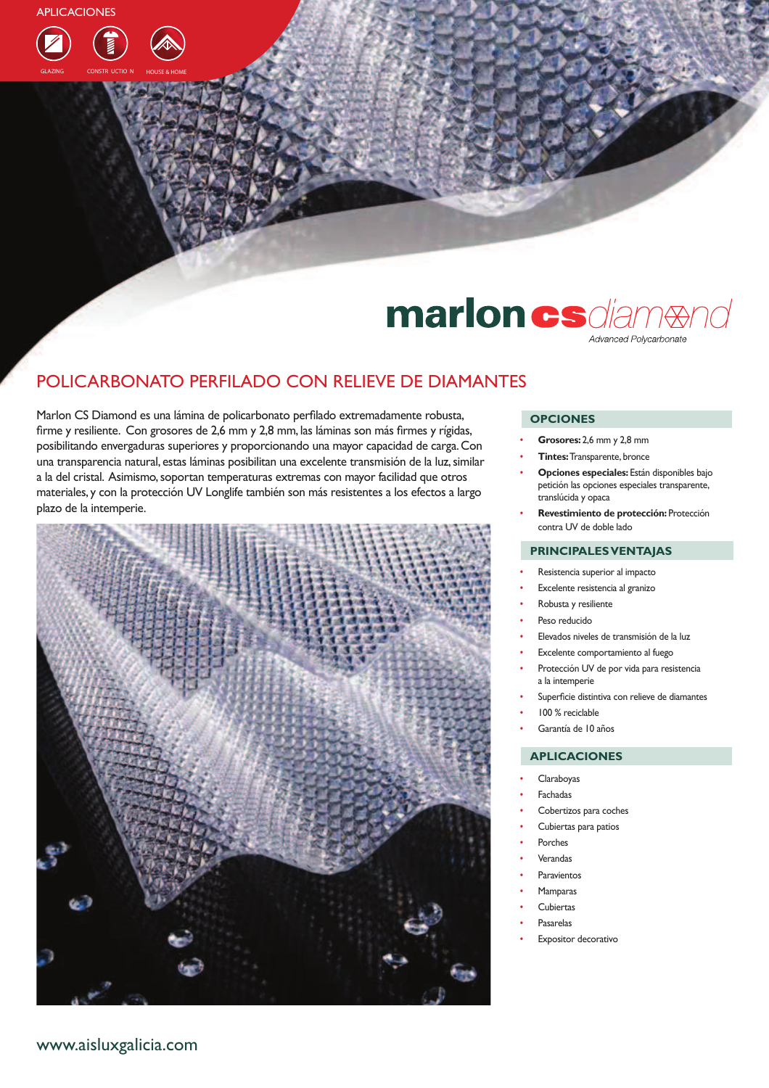

## marlon csdiam Advanced Polycarbonate

### POLICARBONATO PERFILADO CON RELIEVE DE DIAMANTES

Marlon CS Diamond es una lámina de policarbonato perfilado extremadamente robusta, firme y resiliente. Con grosores de 2,6 mm y 2,8 mm, las láminas son más firmes y rígidas, posibilitando envergaduras superiores y proporcionando una mayor capacidad de carga. Con una transparencia natural, estas láminas posibilitan una excelente transmisión de la luz, similar a la del cristal. Asimismo, soportan temperaturas extremas con mayor facilidad que otros materiales, y con la protección UV Longlife también son más resistentes a los efectos a largo plazo de la intemperie.



#### **OPCIONES**

- Grosores: 2,6 mm y 2,8 mm
- Tintes: Transparente, bronce
- Opciones especiales: Están disponibles bajo petición las opciones especiales transparente, translúcida y opaca
- Revestimiento de protección: Protección contra UV de doble lado

#### **PRINCIPALES VENTAJAS**

- Resistencia superior al impacto
- Excelente resistencia al granizo
- Robusta y resiliente
- Peso reducido
- Elevados niveles de transmisión de la luz
- Excelente comportamiento al fuego
- Protección UV de por vida para resistencia a la intemperie
- Superficie distintiva con relieve de diamantes
- 100 % reciclable
- Garantía de 10 años

#### **APLICACIONES**

- Claraboyas
- Fachadas
- Cobertizos para coches
- Cubiertas para patios
- Porches
- Verandas
- Paravientos
- Mamparas
- Cubiertas
- Pasarelas
- Expositor decorativo